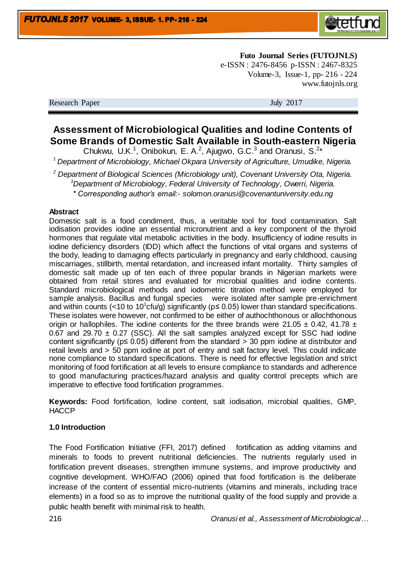

**Futo Journal Series (FUTOJNLS)** e-ISSN : 2476-8456 p-ISSN : 2467-8325 Volume-3, Issue-1, pp- 216 - 224 www.futojnls.org

Research Paper July 2017

# **Assessment of Microbiological Qualities and Iodine Contents of Some Brands of Domestic Salt Available in South-eastern Nigeria**

Chukwu, U.K.<sup>1</sup>, Onibokun, E. A.<sup>2</sup>, Ajugwo, G.C.<sup>3</sup> and Oranusi, S.<sup>2\*</sup>

*<sup>1</sup>Department of Microbiology, Michael Okpara University of Agriculture, Umudike, Nigeria.*

*<sup>2</sup> Department of Biological Sciences (Microbiology unit), Covenant University Ota, Nigeria. <sup>3</sup>Department of Microbiology, Federal University of Technology, Owerri, Nigeria. \* Corresponding author's email:- solomon.oranusi@covenantuniversity.edu.ng*

### **Abstract**

Domestic salt is a food condiment, thus, a veritable tool for food contamination. Salt iodisation provides iodine an essential micronutrient and a key component of the thyroid hormones that regulate vital metabolic activities in the body. Insufficiency of iodine results in iodine deficiency disorders (IDD) which affect the functions of vital organs and systems of the body, leading to damaging effects particularly in pregnancy and early childhood, causing miscarriages, stillbirth, mental retardation, and increased infant mortality. Thirty samples of domestic salt made up of ten each of three popular brands in Nigerian markets were obtained from retail stores and evaluated for microbial qualities and iodine contents. Standard microbiological methods and iodometric titration method were employed for sample analysis. Bacillus and fungal species were isolated after sample pre-enrichment and within counts (<10 to 10<sup>1</sup>cfu/g) significantly ( $p \le 0.05$ ) lower than standard specifications. These isolates were however, not confirmed to be either of authochthonous or allochthonous origin or hallophiles. The iodine contents for the three brands were 21.05  $\pm$  0.42, 41.78  $\pm$ 0.67 and 29.70  $\pm$  0.27 (SSC). All the salt samples analyzed except for SSC had iodine content significantly (p≤ 0.05) different from the standard > 30 ppm iodine at distributor and retail levels and > 50 ppm iodine at port of entry and salt factory level. This could indicate none compliance to standard specifications. There is need for effective legislation and strict monitoring of food fortification at all levels to ensure compliance to standards and adherence to good manufacturing practices/hazard analysis and quality control precepts which are imperative to effective food fortification programmes.

**Keywords:** Food fortification, Iodine content, salt iodisation, microbial qualities, GMP, **HACCP** 

## **1.0 Introduction**

The Food Fortification Initiative (FFI, 2017) defined fortification as adding vitamins and minerals to foods to prevent nutritional deficiencies. The nutrients regularly used in fortification prevent diseases, strengthen immune systems, and improve productivity and cognitive development. WHO/FAO (2006) opined that food fortification is the deliberate increase of the content of essential micro-nutrients (vitamins and minerals, including trace elements) in a food so as to improve the nutritional quality of the food supply and provide a public health benefit with minimal risk to health.

216 *Oranusi et al., Assessment of Microbiological…*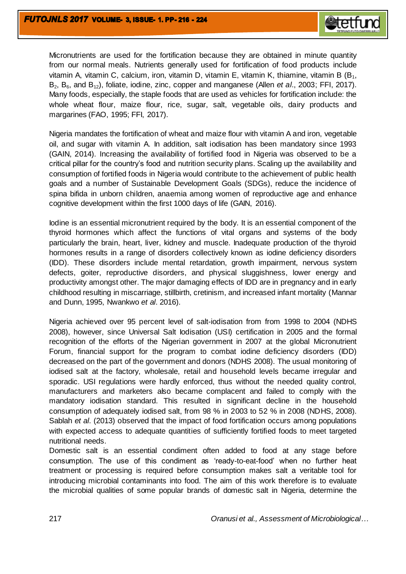

Micronutrients are used for the fortification because they are obtained in minute quantity from our normal meals. Nutrients generally used for fortification of food products include vitamin A, vitamin C, calcium, iron, vitamin D, vitamin E, vitamin K, thiamine, vitamin B  $(B<sub>1</sub>,$ B<sub>2</sub>, B<sub>6</sub>, and B<sub>12</sub>), foliate, iodine, zinc, copper and manganese (Allen *et al.*, 2003; FFI, 2017). Many foods, especially, the staple foods that are used as vehicles for fortification include: the whole wheat flour, maize flour, rice, sugar, salt, vegetable oils, dairy products and margarines (FAO, 1995; FFI, 2017).

Nigeria mandates the fortification of wheat and maize flour with vitamin A and iron, vegetable oil, and sugar with vitamin A. In addition, salt iodisation has been mandatory since 1993 (GAIN, 2014). Increasing the availability of fortified food in Nigeria was observed to be a critical pillar for the country's food and nutrition security plans. Scaling up the availability and consumption of fortified foods in Nigeria would contribute to the achievement of public health goals and a number of Sustainable Development Goals (SDGs), reduce the incidence of spina bifida in unborn children, anaemia among women of reproductive age and enhance cognitive development within the first 1000 days of life (GAIN, 2016).

Iodine is an essential micronutrient required by the body. It is an essential component of the thyroid hormones which affect the functions of vital organs and systems of the body particularly the brain, heart, liver, kidney and muscle. Inadequate production of the thyroid hormones results in a range of disorders collectively known as iodine deficiency disorders (IDD). These disorders include mental retardation, growth impairment, nervous system defects, goiter, reproductive disorders, and physical sluggishness, lower energy and productivity amongst other. The major damaging effects of IDD are in pregnancy and in early childhood resulting in miscarriage, stillbirth, cretinism, and increased infant mortality (Mannar and Dunn, 1995, Nwankwo *et al*. 2016).

Nigeria achieved over 95 percent level of salt-iodisation from from 1998 to 2004 (NDHS 2008), however, since Universal Salt Iodisation (USI) certification in 2005 and the formal recognition of the efforts of the Nigerian government in 2007 at the global Micronutrient Forum, financial support for the program to combat iodine deficiency disorders (IDD) decreased on the part of the government and donors (NDHS 2008). The usual monitoring of iodised salt at the factory, wholesale, retail and household levels became irregular and sporadic. USI regulations were hardly enforced, thus without the needed quality control, manufacturers and marketers also became complacent and failed to comply with the mandatory iodisation standard. This resulted in significant decline in the household consumption of adequately iodised salt, from 98 % in 2003 to 52 % in 2008 (NDHS, 2008). Sablah *et al*. (2013) observed that the impact of food fortification occurs among populations with expected access to adequate quantities of sufficiently fortified foods to meet targeted nutritional needs.

Domestic salt is an essential condiment often added to food at any stage before consumption. The use of this condiment as 'ready-to-eat-food' when no further heat treatment or processing is required before consumption makes salt a veritable tool for introducing microbial contaminants into food. The aim of this work therefore is to evaluate the microbial qualities of some popular brands of domestic salt in Nigeria, determine the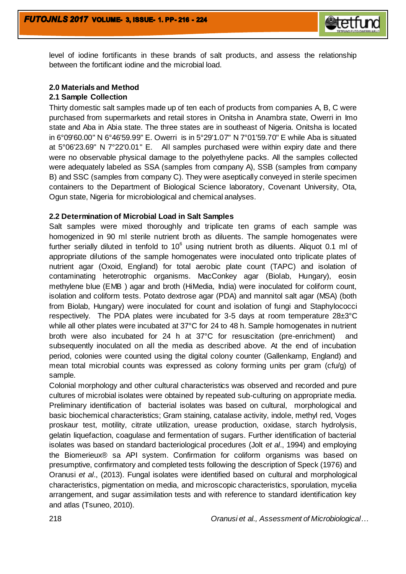

level of iodine fortificants in these brands of salt products, and assess the relationship between the fortificant iodine and the microbial load.

## **2.0 Materials and Method**

## **2.1 Sample Collection**

Thirty domestic salt samples made up of ten each of products from companies A, B, C were purchased from supermarkets and retail stores in Onitsha in Anambra state, Owerri in Imo state and Aba in Abia state. The three states are in southeast of Nigeria. Onitsha is located in 6°09'60.00" N 6°46'59.99" E. Owerri is in 5°29'1.07" N 7°01'59.70" E while Aba is situated at 5°06'23.69" N 7°22'0.01" E. All samples purchased were within expiry date and there were no observable physical damage to the polyethylene packs. All the samples collected were adequately labeled as SSA (samples from company A), SSB (samples from company B) and SSC (samples from company C). They were aseptically conveyed in sterile specimen containers to the Department of Biological Science laboratory, Covenant University, Ota, Ogun state, Nigeria for microbiological and chemical analyses.

## **2.2 Determination of Microbial Load in Salt Samples**

Salt samples were mixed thoroughly and triplicate ten grams of each sample was homogenized in 90 ml sterile nutrient broth as diluents. The sample homogenates were further serially diluted in tenfold to 10 $^6$  using nutrient broth as diluents. Aliquot 0.1 ml of appropriate dilutions of the sample homogenates were inoculated onto triplicate plates of nutrient agar (Oxoid, England) for total aerobic plate count (TAPC) and isolation of contaminating heterotrophic organisms. MacConkey agar (Biolab, Hungary), eosin methylene blue (EMB ) agar and broth (HiMedia, India) were inoculated for coliform count, isolation and coliform tests. Potato dextrose agar (PDA) and mannitol salt agar (MSA) (both from Biolab, Hungary) were inoculated for count and isolation of fungi and Staphylococci respectively. The PDA plates were incubated for 3-5 days at room temperature 28±3°C while all other plates were incubated at 37°C for 24 to 48 h. Sample homogenates in nutrient broth were also incubated for 24 h at 37°C for resuscitation (pre-enrichment) and subsequently inoculated on all the media as described above. At the end of incubation period, colonies were counted using the digital colony counter (Gallenkamp, England) and mean total microbial counts was expressed as colony forming units per gram (cfu/g) of sample.

Colonial morphology and other cultural characteristics was observed and recorded and pure cultures of microbial isolates were obtained by repeated sub-culturing on appropriate media. Preliminary identification of bacterial isolates was based on cultural, morphological and basic biochemical characteristics; Gram staining, catalase activity, indole, methyl red, Voges proskaur test, motility, citrate utilization, urease production, oxidase, starch hydrolysis, gelatin liquefaction, coagulase and fermentation of sugars. Further identification of bacterial isolates was based on standard bacteriological procedures (Jolt *et al*., 1994) and employing the Biomerieux® sa API system. Confirmation for coliform organisms was based on presumptive, confirmatory and completed tests following the description of Speck (1976) and Oranusi *et al*., (2013). Fungal isolates were identified based on cultural and morphological characteristics, pigmentation on media, and microscopic characteristics, sporulation, mycelia arrangement, and sugar assimilation tests and with reference to standard identification key and atlas (Tsuneo, 2010).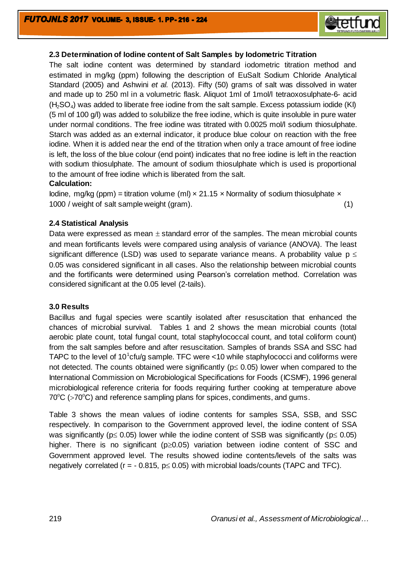

## **2.3 Determination of Iodine content of Salt Samples by Iodometric Titration**

The salt iodine content was determined by standard iodometric titration method and estimated in mg/kg (ppm) following the description of EuSalt Sodium Chloride Analytical Standard (2005) and Ashwini *et al.* (2013). Fifty (50) grams of salt was dissolved in water and made up to 250 ml in a volumetric flask. Aliquot 1ml of 1mol/l tetraoxosulphate-6- acid  $(H<sub>2</sub>SO<sub>4</sub>)$  was added to liberate free iodine from the salt sample. Excess potassium iodide (KI) (5 ml of 100 g/l) was added to solubilize the free iodine, which is quite insoluble in pure water under normal conditions. The free iodine was titrated with 0.0025 mol/l sodium thiosulphate. Starch was added as an external indicator, it produce blue colour on reaction with the free iodine. When it is added near the end of the titration when only a trace amount of free iodine is left, the loss of the blue colour (end point) indicates that no free iodine is left in the reaction with sodium thiosulphate. The amount of sodium thiosulphate which is used is proportional to the amount of free iodine which is liberated from the salt.

### **Calculation:**

Iodine, mg/kg (ppm) = titration volume (ml)  $\times$  21.15  $\times$  Normality of sodium thiosulphate  $\times$ 1000 / weight of salt sample weight (gram). (1)

### **2.4 Statistical Analysis**

Data were expressed as mean  $\pm$  standard error of the samples. The mean microbial counts and mean fortificants levels were compared using analysis of variance (ANOVA). The least significant difference (LSD) was used to separate variance means. A probability value  $p \leq$ 0.05 was considered significant in all cases. Also the relationship between microbial counts and the fortificants were determined using Pearson's correlation method. Correlation was considered significant at the 0.05 level (2-tails).

#### **3.0 Results**

Bacillus and fugal species were scantily isolated after resuscitation that enhanced the chances of microbial survival. Tables 1 and 2 shows the mean microbial counts (total aerobic plate count, total fungal count, total staphylococcal count, and total coliform count) from the salt samples before and after resuscitation. Samples of brands SSA and SSC had TAPC to the level of 10<sup>1</sup>cfu/g sample. TFC were <10 while staphylococci and coliforms were not detected. The counts obtained were significantly ( $p \le 0.05$ ) lower when compared to the International Commission on Microbiological Specifications for Foods (ICSMF), 1996 general microbiological reference criteria for foods requiring further cooking at temperature above  $70^{\circ}$ C ( $>70^{\circ}$ C) and reference sampling plans for spices, condiments, and gums.

Table 3 shows the mean values of iodine contents for samples SSA, SSB, and SSC respectively. In comparison to the Government approved level, the iodine content of SSA was significantly ( $p \le 0.05$ ) lower while the iodine content of SSB was significantly ( $p \le 0.05$ ) higher. There is no significant ( $p\geq0.05$ ) variation between iodine content of SSC and Government approved level. The results showed iodine contents/levels of the salts was negatively correlated ( $r = -0.815$ ,  $p \le 0.05$ ) with microbial loads/counts (TAPC and TFC).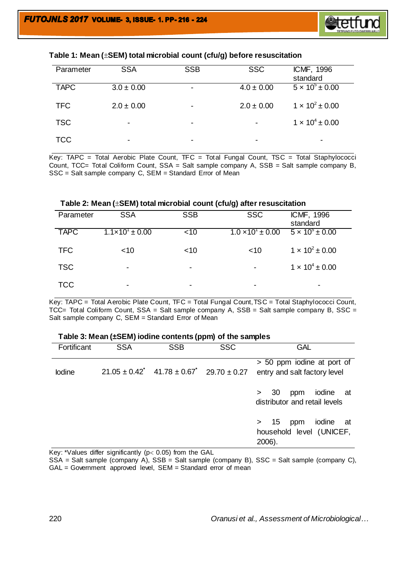

|  |  | Table 1: Mean ( $\pm$ SEM) total microbial count (cfu/g) before resuscitation |
|--|--|-------------------------------------------------------------------------------|
|--|--|-------------------------------------------------------------------------------|

| Parameter   | <b>SSA</b>     | <b>SSB</b> | <b>SSC</b>     | ICMF, 1996<br>standard   |
|-------------|----------------|------------|----------------|--------------------------|
| <b>TAPC</b> | $3.0 \pm 0.00$ | -          | $4.0 \pm 0.00$ | $5 \times 10^5 \pm 0.00$ |
| <b>TFC</b>  | $2.0 \pm 0.00$ | -          | $2.0 \pm 0.00$ | $1 \times 10^2 \pm 0.00$ |
| <b>TSC</b>  | ۰              | $\,$       |                | $1 \times 10^4 \pm 0.00$ |
| <b>TCC</b>  | -              | -          |                | -                        |

Key: TAPC = Total Aerobic Plate Count, TFC = Total Fungal Count, TSC = Total Staphylococci Count, TCC= Total Coliform Count, SSA = Salt sample company A, SSB = Salt sample company B, SSC = Salt sample company C, SEM = Standard Error of Mean

| Table 2: Mean $(\pm$ SEM) total microbial count (cfu/g) after resuscitation |                              |            |                              |                            |  |
|-----------------------------------------------------------------------------|------------------------------|------------|------------------------------|----------------------------|--|
| Parameter                                                                   | <b>SSA</b>                   | <b>SSB</b> | <b>SSC</b>                   | ICMF, 1996<br>standard     |  |
| <b>TAPC</b>                                                                 | $1.1 \times 10^{1} \pm 0.00$ | ~10        | $1.0 \times 10^{1} \pm 0.00$ | $5 \times 10^{5} \pm 0.00$ |  |
| <b>TFC</b>                                                                  | ~10                          | ~10        | ~10                          | $1 \times 10^2 \pm 0.00$   |  |
| <b>TSC</b>                                                                  | -                            | ۰          | $\overline{\phantom{a}}$     | $1 \times 10^4 \pm 0.00$   |  |
| TCC                                                                         |                              |            |                              |                            |  |

Key: TAPC = Total Aerobic Plate Count, TFC = Total Fungal Count,TSC = Total Staphylococci Count, TCC= Total Coliform Count, SSA = Salt sample company A, SSB = Salt sample company B, SSC = Salt sample company C, SEM = Standard Error of Mean

#### **Table 3: Mean (±SEM) iodine contents (ppm) of the samples**

| Fortificant | <b>SSA</b> | <b>SSB</b>                                                                   | <b>SSC</b> | <b>GAL</b>                                                          |
|-------------|------------|------------------------------------------------------------------------------|------------|---------------------------------------------------------------------|
| lodine      |            | $21.05 \pm 0.42$ <sup>*</sup> $41.78 \pm 0.67$ <sup>*</sup> 29.70 $\pm 0.27$ |            | > 50 ppm iodine at port of<br>entry and salt factory level          |
|             |            |                                                                              |            | iodine at<br>- 30<br>ppm<br>$\geq$<br>distributor and retail levels |
|             |            |                                                                              |            | iodine<br>> 15<br>ppm<br>at<br>household level (UNICEF,<br>2006).   |

Key: \*Values differ significantly ( $p < 0.05$ ) from the GAL

SSA = Salt sample (company A), SSB = Salt sample (company B), SSC = Salt sample (company C), GAL = Government approved level, SEM = Standard error of mean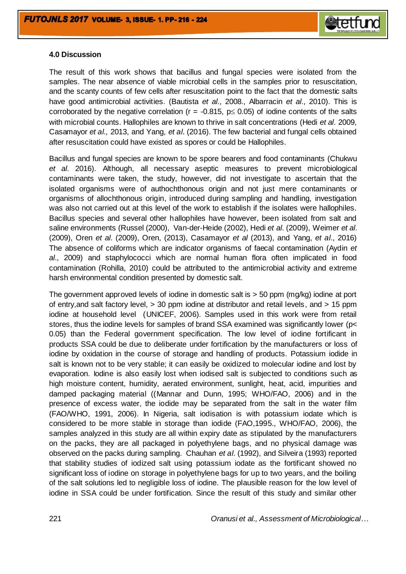

## **4.0 Discussion**

The result of this work shows that bacillus and fungal species were isolated from the samples. The near absence of viable microbial cells in the samples prior to resuscitation, and the scanty counts of few cells after resuscitation point to the fact that the domestic salts have good antimicrobial activities. (Bautista *et al*., 2008., Albarracin *et al*., 2010). This is corroborated by the negative correlation ( $r = -0.815$ ,  $p \le 0.05$ ) of iodine contents of the salts with microbial counts. Hallophiles are known to thrive in salt concentrations (Hedi *et al*. 2009, Casamayor *et al.,* 2013, and Yang, *et al*. (2016). The few bacterial and fungal cells obtained after resuscitation could have existed as spores or could be Hallophiles.

Bacillus and fungal species are known to be spore bearers and food contaminants (Chukwu *et al*. 2016). Although, all necessary aseptic measures to prevent microbiological contaminants were taken, the study, however, did not investigate to ascertain that the isolated organisms were of authochthonous origin and not just mere contaminants or organisms of allochthonous origin, introduced during sampling and handling, investigation was also not carried out at this level of the work to establish if the isolates were hallophiles. Bacillus species and several other hallophiles have however, been isolated from salt and saline environments (Russel (2000), Van-der-Heide (2002), Hedi *et al*. (2009), Weimer *et al*. (2009), Oren *et al*. (2009), Oren, (2013), Casamayor *et al* (2013), and Yang, *et al*., 2016) The absence of coliforms which are indicator organisms of faecal contamination (Aydin *et al*., 2009) and staphylococci which are normal human flora often implicated in food contamination (Rohilla, 2010) could be attributed to the antimicrobial activity and extreme harsh environmental condition presented by domestic salt.

The government approved levels of iodine in domestic salt is > 50 ppm (mg/kg) iodine at port of entry,and salt factory level, > 30 ppm iodine at distributor and retail levels, and > 15 ppm iodine at household level (UNICEF, 2006). Samples used in this work were from retail stores, thus the iodine levels for samples of brand SSA examined was significantly lower (p< 0.05) than the Federal government specification. The low level of iodine fortificant in products SSA could be due to deliberate under fortification by the manufacturers or loss of iodine by oxidation in the course of storage and handling of products. Potassium iodide in salt is known not to be very stable; it can easily be oxidized to molecular iodine and lost by evaporation. Iodine is also easily lost when iodised salt is subjected to conditions such as high moisture content, humidity, aerated environment, sunlight, heat, acid, impurities and damped packaging material ((Mannar and Dunn, 1995; WHO/FAO, 2006) and in the presence of excess water, the iodide may be separated from the salt in the water film (FAO/WHO, 1991, 2006). In Nigeria, salt iodisation is with potassium iodate which is considered to be more stable in storage than iodide (FAO,1995., WHO/FAO, 2006), the samples analyzed in this study are all within expiry date as stipulated by the manufacturers on the packs, they are all packaged in polyethylene bags, and no physical damage was observed on the packs during sampling. Chauhan *et al*. (1992), and Silveira (1993) reported that stability studies of iodized salt using potassium iodate as the fortificant showed no significant loss of iodine on storage in polyethylene bags for up to two years, and the boiling of the salt solutions led to negligible loss of iodine. The plausible reason for the low level of iodine in SSA could be under fortification. Since the result of this study and similar other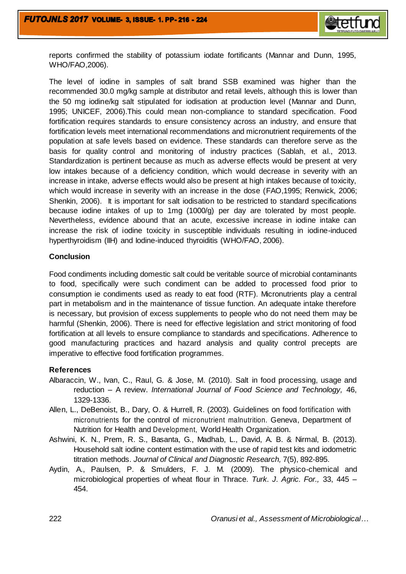

reports confirmed the stability of potassium iodate fortificants (Mannar and Dunn, 1995, WHO/FAO,2006).

The level of iodine in samples of salt brand SSB examined was higher than the recommended 30.0 mg/kg sample at distributor and retail levels, although this is lower than the 50 mg iodine/kg salt stipulated for iodisation at production level (Mannar and Dunn, 1995; UNICEF, 2006).This could mean non-compliance to standard specification. Food fortification requires standards to ensure consistency across an industry, and ensure that fortification levels meet international recommendations and micronutrient requirements of the population at safe levels based on evidence. These standards can therefore serve as the basis for quality control and monitoring of industry practices (Sablah, et al., 2013. Standardization is pertinent because as much as adverse effects would be present at very low intakes because of a deficiency condition, which would decrease in severity with an increase in intake, adverse effects would also be present at high intakes because of toxicity, which would increase in severity with an increase in the dose (FAO,1995; Renwick, 2006; Shenkin, 2006). It is important for salt iodisation to be restricted to standard specifications because iodine intakes of up to 1mg (1000/g) per day are tolerated by most people. Nevertheless, evidence abound that an acute, excessive increase in iodine intake can increase the risk of iodine toxicity in susceptible individuals resulting in iodine-induced hyperthyroidism (IIH) and lodine-induced thyroiditis (WHO/FAO, 2006).

## **Conclusion**

Food condiments including domestic salt could be veritable source of microbial contaminants to food, specifically were such condiment can be added to processed food prior to consumption ie condiments used as ready to eat food (RTF). Micronutrients play a central part in metabolism and in the maintenance of tissue function. An adequate intake therefore is necessary, but provision of excess supplements to people who do not need them may be harmful (Shenkin, 2006). There is need for effective legislation and strict monitoring of food fortification at all levels to ensure compliance to standards and specifications. Adherence to good manufacturing practices and hazard analysis and quality control precepts are imperative to effective food fortification programmes.

## **References**

- Albaraccin, W., Ivan, C., Raul, G. & Jose, M. (2010). Salt in food processing, usage and reduction – A review. *International Journal of Food Science and Technology,* 46, 1329-1336.
- Allen, L., DeBenoist, B., Dary, O. & Hurrell, R. (2003). Guidelines on food fortification with micronutrients for the control of micronutrient malnutrition. Geneva, Department of Nutrition for Health and Development, World Health Organization.
- Ashwini, K. N., Prem, R. S., Basanta, G., Madhab, L., David, A. B. & Nirmal, B. (2013). Household salt iodine content estimation with the use of rapid test kits and iodometric titration methods. *Journal of Clinical and Diagnostic Research,* 7(5), 892-895.
- Aydin, A., Paulsen, P. & Smulders, F. J. M. (2009). The physico-chemical and microbiological properties of wheat flour in Thrace. *Turk. J. Agric. For.,* 33, 445 – 454.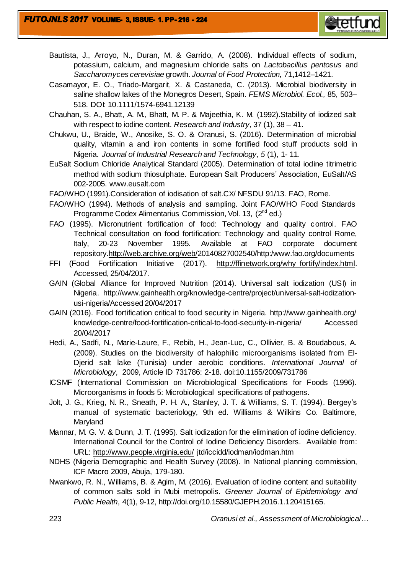

- Bautista, J., Arroyo, N., Duran, M. & Garrido, A. (2008). Individual effects of sodium, potassium, calcium, and magnesium chloride salts on *Lactobacillus pentosus* and *Saccharomyces cerevisiae* growth. *Journal of Food Protection,* 71**,**1412–1421.
- Casamayor, E. O., Triado-Margarit, X. & Castaneda, C. (2013). Microbial biodiversity in saline shallow lakes of the Monegros Desert, Spain. *FEMS Microbiol. Ecol.,* 85, 503– 518. DOI: 10.1111/1574-6941.12139
- Chauhan, S. A., Bhatt, A. M., Bhatt, M. P. & Majeethia, K. M. (1992).Stability of iodized salt with respect to iodine content. *Research and Industry,* 37 (1), 38 – 41.
- Chukwu, U., Braide, W., Anosike, S. O. & Oranusi, S. (2016). Determination of microbial quality, vitamin a and iron contents in some fortified food stuff products sold in Nigeria. *Journal of Industrial Research and Technology, 5* (1), 1- 11.
- EuSalt Sodium Chloride Analytical Standard (2005). Determination of total iodine titrimetric method with sodium thiosulphate. European Salt Producers' Association, EuSalt/AS 002-2005. www.eusalt.com
- FAO/WHO (1991).Consideration of iodisation of salt.CX/ NFSDU 91/13. FAO, Rome.
- FAO/WHO (1994). Methods of analysis and sampling. Joint FAO/WHO Food Standards Programme Codex Alimentarius Commission, Vol. 13, (2<sup>nd</sup> ed.)
- FAO (1995). Micronutrient fortification of food: Technology and quality control. FAO Technical consultation on food fortification: Technology and quality control Rome, Italy, 20-23 November 1995. Available at FAO corporate document repository[.http://web.archive.org/web/2](http://web.archive.org/web/)0140827002540/http:/www.fao.org/documents
- FFI (Food Fortification Initiative (2017). [http://ffinetwork.org/why\\_fortify/index.html.](http://ffinetwork.org/why_fortify/index.html) Accessed, 25/04/2017.
- GAIN (Global Alliance for Improved Nutrition (2014). Universal salt iodization (USI) in Nigeria. http://www.gainhealth.org/knowledge-centre/project/universal-salt-iodizationusi-nigeria/Accessed 20/04/2017
- GAIN (2016). Food fortification critical to food security in Nigeria. http://www.gainhealth.org/ knowledge-centre/food-fortification-critical-to-food-security-in-nigeria/ Accessed 20/04/2017
- Hedi, A., Sadfi, N., Marie-Laure, F., Rebib, H., Jean-Luc, C., Ollivier, B. & Boudabous, A. (2009). Studies on the biodiversity of halophilic microorganisms isolated from El-Djerid salt lake (Tunisia) under aerobic conditions. *International Journal of Microbiology,* 2009, Article ID 731786: 2-18. doi:10.1155/2009/731786
- ICSMF (International Commission on Microbiological Specifications for Foods (1996). Microorganisms in foods 5: Microbiological specifications of pathogens.
- Jolt, J. G., Krieg, N. R., Sneath, P. H. A., Stanley, J. T. & Williams, S. T. (1994). Bergey's manual of systematic bacteriology, 9th ed. Williams & Wilkins Co. Baltimore, Maryland
- Mannar, M. G. V. & Dunn, J. T. (1995). Salt iodization for the elimination of iodine deficiency. International Council for the Control of Iodine Deficiency Disorders. Available from: URL:<http://www.people.virginia.edu/> jtd/iccidd/iodman/iodman.htm
- NDHS (Nigeria Demographic and Health Survey (2008). In National planning commission, ICF Macro 2009, Abuja, 179-180.
- Nwankwo, R. N., Williams, B. & Agim, M. (2016). Evaluation of iodine content and suitability of common salts sold in Mubi metropolis. *Greener Journal of Epidemiology and Public Health*, 4(1), 9-12, http://doi.org/10.15580/GJEPH.2016.1.120415165.